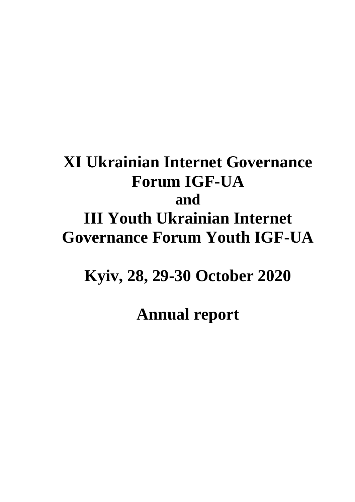# **XI Ukrainian Internet Governance Forum IGF-UA and III Youth Ukrainian Internet Governance Forum Youth IGF-UA**

## **Kyiv, 28, 29-30 October 2020**

**Annual report**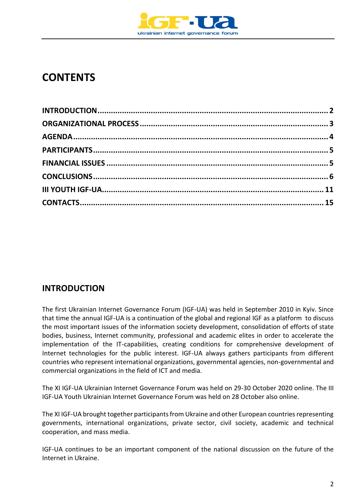

## **CONTENTS**

## <span id="page-1-0"></span>**INTRODUCTION**

The first Ukrainian Internet Governance Forum (IGF-UA) was held in September 2010 in Kyiv. Since that time the annual IGF-UA is a continuation of the global and regional IGF as a platform to discuss the most important issues of the information society development, consolidation of efforts of state bodies, business, Internet community, professional and academic elites in order to accelerate the implementation of the IT-capabilities, creating conditions for comprehensive development of Internet technologies for the public interest. IGF-UA always gathers participants from different countries who represent international organizations, governmental agencies, non-governmental and commercial organizations in the field of ICT and media.

The XI IGF-UA Ukrainian Internet Governance Forum was held on 29-30 October 2020 online. The III IGF-UA Youth Ukrainian Internet Governance Forum was held on 28 October also online.

The XI IGF-UA brought together participants from Ukraine and other European countries representing governments, international organizations, private sector, civil society, academic and technical cooperation, and mass media.

IGF-UA continues to be an important component of the national discussion on the future of the Internet in Ukraine.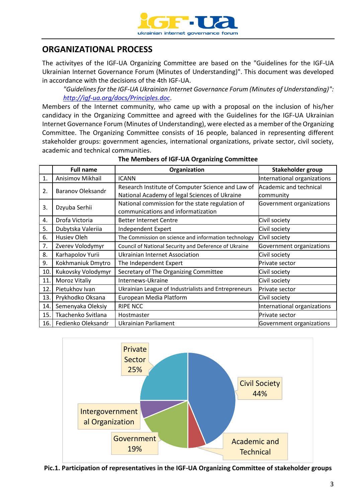

## <span id="page-2-0"></span>**ORGANIZATIONAL PROCESS**

The activityes of the IGF-UA Organizing Committee are based on the "Guidelines for the IGF-UA Ukrainian Internet Governance Forum (Minutes of Understanding)". This document was developed in accordance with the decisions of the 4th IGF-UA.

*"Guidelines for the IGF-UA Ukrainian Internet Governance Forum (Minutes of Understanding)": <http://igf-ua.org/docs/Principles.doc>*.

Members of the Internet community, who came up with a proposal on the inclusion of his/her candidacy in the Organizing Committee and agreed with the Guidelines for the IGF-UA Ukrainian Internet Governance Forum (Minutes of Understanding), were elected as a member of the Organizing Committee. The Organizing Committee consists of 16 people, balanced in representing different stakeholder groups: government agencies, international organizations, private sector, civil society, academic and technical communities.

|      | <b>Full name</b>         | Organization                                          | Stakeholder group           |  |
|------|--------------------------|-------------------------------------------------------|-----------------------------|--|
| 1.   | Anisimov Mikhail         | <b>ICANN</b>                                          | International organizations |  |
| 2.   | <b>Baranov Oleksandr</b> | Research Institute of Computer Science and Law of     | Academic and technical      |  |
|      |                          | National Academy of legal Sciences of Ukraine         | community                   |  |
| 3.   |                          | National commission for the state regulation of       | Government organizations    |  |
|      | Dzyuba Serhii            | communications and informatization                    |                             |  |
| 4.   | Drofa Victoria           | <b>Better Internet Centre</b>                         | Civil society               |  |
| 5.   | Dubytska Valeriia        | Independent Expert                                    | Civil society               |  |
| 6.   | Husiev Oleh              | The Commission on science and information technology  | Civil society               |  |
| 7.   | Zverev Volodymyr         | Council of National Security and Deference of Ukraine | Government organizations    |  |
| 8.   | Karhapolov Yurii         | <b>Ukrainian Internet Association</b>                 | Civil society               |  |
| 9.   | Kokhmaniuk Dmytro        | The Independent Expert                                | Private sector              |  |
| 10.  | Kukovsky Volodymyr       | Secretary of The Organizing Committee                 | Civil society               |  |
| 11.  | Moroz Vitaliy            | Internews-Ukraine                                     | Civil society               |  |
| 12.  | Pietukhov Ivan           | Ukrainian League of Industrialists and Entrepreneurs  | Private sector              |  |
| 13.  | Prykhodko Oksana         | European Media Platform                               | Civil society               |  |
| 14.  | Semenyaka Oleksiy        | <b>RIPE NCC</b>                                       | International organizations |  |
| 15.  | Tkachenko Svitlana       | Hostmaster                                            | Private sector              |  |
| 16.1 | Fedienko Oleksandr       | Ukrainian Parliament                                  | Government organizations    |  |

#### **The Members of IGF-UA Organizing Committee**



**Pic.1. Participation of representatives in the IGF-UA Organizing Committee of stakeholder groups**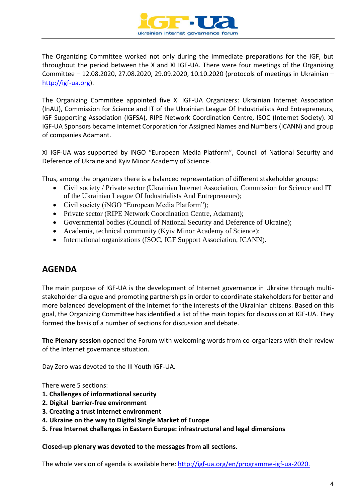

The Organizing Committee worked not only during the immediate preparations for the IGF, but throughout the period between the X and XI IGF-UA. There were four meetings of the Organizing Committee – 12.08.2020, 27.08.2020, 29.09.2020, 10.10.2020 (protocols of meetings in Ukrainian – [http://igf-ua.org\)](http://igf-ua.org/).

The Organizing Committee appointed five XI IGF-UA Organizers: Ukrainian Internet Association (InAU), Commission for Science and IT of the Ukrainian League Of Industrialists And Entrepreneurs, IGF Supporting Association (IGFSA), RIPE Network Coordination Centre, ISOC (Internet Society). XI IGF-UA Sponsors became Internet Corporation for Assigned Names and Numbers (ICANN) and group of companies Adamant.

XI IGF-UA was supported by iNGO "European Media Platform", Council of National Security and Deference of Ukraine and Kyiv Minor Academy of Science.

Thus, among the organizers there is a balanced representation of different stakeholder groups:

- Civil society / Private sector (Ukrainian Internet Association, Commission for Science and IT of the Ukrainian League Of Industrialists And Entrepreneurs);
- Civil society (iNGO "European Media Platform");
- Private sector (RIPE Network Coordination Centre, Adamant);
- Governmental bodies (Council of National Security and Deference of Ukraine);
- Academia, technical community (Kyiv Minor Academy of Science);
- International organizations (ISOC, IGF Support Association, ICANN).

#### <span id="page-3-0"></span>**AGENDA**

The main purpose of IGF-UA is the development of Internet governance in Ukraine through multistakeholder dialogue and promoting partnerships in order to coordinate stakeholders for better and more balanced development of the Internet for the interests of the Ukrainian citizens. Based on this goal, the Organizing Committee has identified a list of the main topics for discussion at IGF-UA. They formed the basis of a number of sections for discussion and debate.

**The Plenary session** opened the Forum with welcoming words from co-organizers with their review of the Internet governance situation.

Day Zero was devoted to the III Youth IGF-UA.

There were 5 sections:

- **1. Challenges of informational security**
- **2. Digital barrier-free environment**
- **3. Creating a trust Internet environment**
- **4. Ukraine on the way to Digital Single Market of Europe**
- **5. Free Internet challenges in Eastern Europe: infrastructural and legal dimensions**

#### **Closed-up plenary was devoted to the messages from all sections.**

The whole version of agenda is available here: [http://igf-ua.org/en/programme-igf-ua-2020.](http://igf-ua.org/en/programme-igf-ua-2020)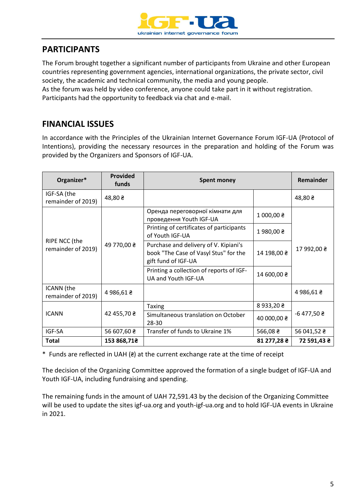

## <span id="page-4-0"></span>**PARTICIPANTS**

The Forum brought together a significant number of participants from Ukraine and other European countries representing government agencies, international organizations, the private sector, civil society, the academic and technical community, the media and young people.

As the forum was held by video conference, anyone could take part in it without registration. Participants had the opportunity to feedback via chat and e-mail.

### <span id="page-4-1"></span>**FINANCIAL ISSUES**

In accordance with the Principles of the Ukrainian Internet Governance Forum IGF-UA (Protocol of Intentions), providing the necessary resources in the preparation and holding of the Forum was provided by the Organizers and Sponsors of IGF-UA.

| Organizer*                          | <b>Provided</b><br>funds | <b>Spent money</b>                                                                                    |                        | Remainder        |
|-------------------------------------|--------------------------|-------------------------------------------------------------------------------------------------------|------------------------|------------------|
| IGF-SA (the<br>remainder of 2019)   | 48,80z                   |                                                                                                       |                        | 48,80 ₴          |
| RIPE NCC (the<br>remainder of 2019) | 49 770,00 ₴              | Оренда переговорної кімнати для<br>проведення Youth IGF-UA                                            | 1000,008               | 17 992,00 ₴      |
|                                     |                          | Printing of certificates of participants<br>of Youth IGF-UA                                           | 1980,00 ₴              |                  |
|                                     |                          | Purchase and delivery of V. Kipiani's<br>book "The Case of Vasyl Stus" for the<br>gift fund of IGF-UA | 14 198,00 ₴            |                  |
|                                     |                          | Printing a collection of reports of IGF-<br>UA and Youth IGF-UA                                       | 14 600,00 ₴            |                  |
| ICANN (the<br>remainder of 2019)    | 4986,61 2                |                                                                                                       |                        | 4986,61 2        |
|                                     |                          | <b>Taxing</b>                                                                                         | 8933,20 $\geq$         | $-6477,502$      |
| <b>ICANN</b>                        | 42 455,70 ₴              | Simultaneous translation on October<br>28-30                                                          | 40 000,00 ₴            |                  |
| IGF-SA                              | 56 607,60 $\geq$         | Transfer of funds to Ukraine 1%                                                                       | $566,08 \; \text{\AA}$ | 56 041,52 $\geq$ |
| Total                               | 153 868,71€              |                                                                                                       | 81 277,28 ₴            | 72 591,43 ₴      |

 $*$  Funds are reflected in UAH ( $\epsilon$ ) at the current exchange rate at the time of receipt

The decision of the Organizing Committee approved the formation of a single budget of IGF-UA and Youth IGF-UA, including fundraising and spending.

The remaining funds in the amount of UAH 72,591.43 by the decision of the Organizing Committee will be used to update the sites igf-ua.org and youth-igf-ua.org and to hold IGF-UA events in Ukraine in 2021.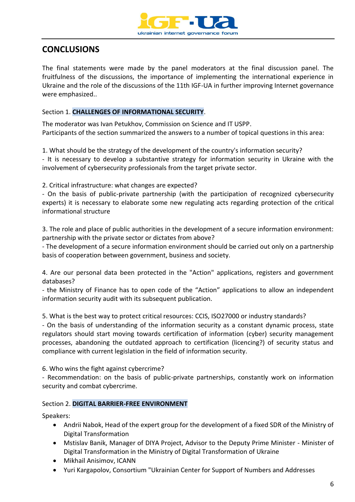

## <span id="page-5-0"></span>**CONCLUSIONS**

The final statements were made by the panel moderators at the final discussion panel. The fruitfulness of the discussions, the importance of implementing the international experience in Ukraine and the role of the discussions of the 11th IGF-UA in further improving Internet governance were emphasized..

#### Section 1. **CHALLENGES OF INFORMATIONAL SECURITY**.

The moderator was Ivan Petukhov, Commission on Science and IT USPP. Participants of the section summarized the answers to a number of topical questions in this area:

1. What should be the strategy of the development of the country's information security?

- It is necessary to develop a substantive strategy for information security in Ukraine with the involvement of cybersecurity professionals from the target private sector.

2. Critical infrastructure: what changes are expected?

- On the basis of public-private partnership (with the participation of recognized cybersecurity experts) it is necessary to elaborate some new regulating acts regarding protection of the critical informational structure

3. The role and place of public authorities in the development of a secure information environment: partnership with the private sector or dictates from above?

- The development of a secure information environment should be carried out only on a partnership basis of cooperation between government, business and society.

4. Are our personal data been protected in the "Action" applications, registers and government databases?

- the Ministry of Finance has to open code of the "Action" applications to allow an independent information security audit with its subsequent publication.

5. What is the best way to protect critical resources: CCIS, ISO27000 or industry standards?

- On the basis of understanding of the information security as a constant dynamic process, state regulators should start moving towards certification of information (cyber) security management processes, abandoning the outdated approach to certification (licencing?) of security status and compliance with current legislation in the field of information security.

6. Who wins the fight against cybercrime?

- Recommendation: on the basis of public-private partnerships, constantly work on information security and combat cybercrime.

#### Section 2. **DIGITAL BARRIER-FREE ENVIRONMENT**

Speakers:

- Andrii Nabok, Head of the expert group for the development of a fixed SDR of the Ministry of Digital Transformation
- Mstislav Banik, Manager of DIYA Project, Advisor to the Deputy Prime Minister Minister of Digital Transformation in the Ministry of Digital Transformation of Ukraine
- Mikhail Anisimov, ICANN
- Yuri Kargapolov, Consortium "Ukrainian Center for Support of Numbers and Addresses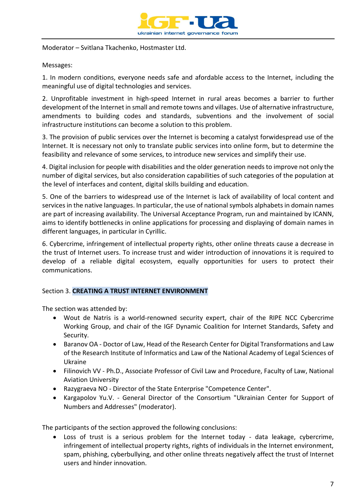

Moderator – Svitlana Tkachenko, Hostmaster Ltd.

Messages:

1. In modern conditions, everyone needs safe and afordable access to the Internet, including the meaningful use of digital technologies and services.

2. Unprofitable investment in high-speed Internet in rural areas becomes a barrier to further development of the Internet in small and remote towns and villages. Use of alternative infrastructure, amendments to building codes and standards, subventions and the involvement of social infrastructure institutions can become a solution to this problem.

3. The provision of public services over the Internet is becoming a catalyst forwidespread use of the Internet. It is necessary not only to translate public services into online form, but to determine the feasibility and relevance of some services, to introduce new services and simplify their use.

4. Digital inclusion for people with disabilities and the older generation needs to improve not only the number of digital services, but also consideration capabilities of such categories of the population at the level of interfaces and content, digital skills building and education.

5. One of the barriers to widespread use of the Internet is lack of availability of local content and services in the native languages. In particular, the use of national symbols alphabets in domain names are part of increasing availability. The Universal Acceptance Program, run and maintained by ICANN, aims to identify bottlenecks in online applications for processing and displaying of domain names in different languages, in particular in Cyrillic.

6. Cybercrime, infringement of intellectual property rights, other online threats cause a decrease in the trust of Internet users. To increase trust and wider introduction of innovations it is required to develop of a reliable digital ecosystem, equally opportunities for users to protect their communications.

#### Section 3. **CREATING A TRUST INTERNET ENVIRONMENT**

The section was attended by:

- Wout de Natris is a world-renowned security expert, chair of the RIPE NCC Cybercrime Working Group, and chair of the IGF Dynamic Coalition for Internet Standards, Safety and Security.
- Baranov OA Doctor of Law, Head of the Research Center for Digital Transformations and Law of the Research Institute of Informatics and Law of the National Academy of Legal Sciences of Ukraine
- Filinovich VV Ph.D., Associate Professor of Civil Law and Procedure, Faculty of Law, National Aviation University
- Razygraeva NO Director of the State Enterprise "Competence Center".
- Kargapolov Yu.V. General Director of the Consortium "Ukrainian Center for Support of Numbers and Addresses" (moderator).

The participants of the section approved the following conclusions:

• Loss of trust is a serious problem for the Internet today - data leakage, cybercrime, infringement of intellectual property rights, rights of individuals in the Internet environment, spam, phishing, cyberbullying, and other online threats negatively affect the trust of Internet users and hinder innovation.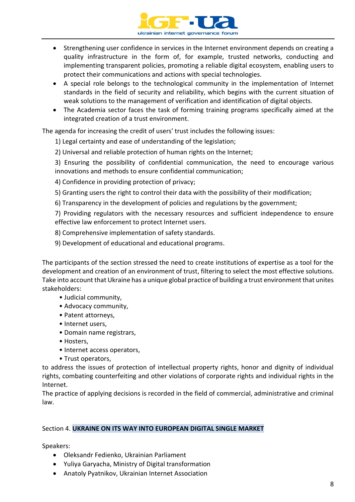

- Strengthening user confidence in services in the Internet environment depends on creating a quality infrastructure in the form of, for example, trusted networks, conducting and implementing transparent policies, promoting a reliable digital ecosystem, enabling users to protect their communications and actions with special technologies.
- A special role belongs to the technological community in the implementation of Internet standards in the field of security and reliability, which begins with the current situation of weak solutions to the management of verification and identification of digital objects.
- The Academia sector faces the task of forming training programs specifically aimed at the integrated creation of a trust environment.

The agenda for increasing the credit of users' trust includes the following issues:

- 1) Legal certainty and ease of understanding of the legislation;
- 2) Universal and reliable protection of human rights on the Internet;

3) Ensuring the possibility of confidential communication, the need to encourage various innovations and methods to ensure confidential communication;

- 4) Confidence in providing protection of privacy;
- 5) Granting users the right to control their data with the possibility of their modification;
- 6) Transparency in the development of policies and regulations by the government;

7) Providing regulators with the necessary resources and sufficient independence to ensure effective law enforcement to protect Internet users.

- 8) Comprehensive implementation of safety standards.
- 9) Development of educational and educational programs.

The participants of the section stressed the need to create institutions of expertise as a tool for the development and creation of an environment of trust, filtering to select the most effective solutions. Take into account that Ukraine has a unique global practice of building a trust environment that unites stakeholders:

- Judicial community,
- Advocacy community,
- Patent attorneys,
- Internet users,
- Domain name registrars,
- Hosters,
- Internet access operators,
- Trust operators,

to address the issues of protection of intellectual property rights, honor and dignity of individual rights, combating counterfeiting and other violations of corporate rights and individual rights in the Internet.

The practice of applying decisions is recorded in the field of commercial, administrative and criminal law.

#### Section 4. **UKRAINE ON ITS WAY INTO EUROPEAN DIGITAL SINGLE MARKET**

Speakers:

- Oleksandr Fedienko, Ukrainian Parliament
- Yuliya Garyacha, Ministry of Digital transformation
- Anatoly Pyatnikov, Ukrainian Internet Association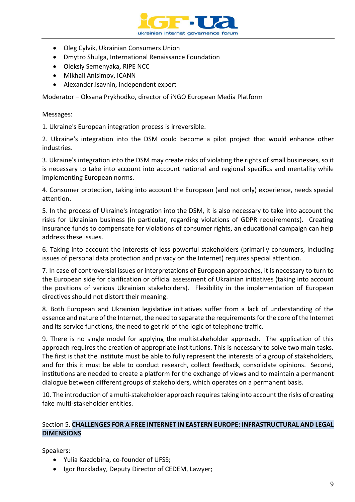

- Оleg Cylvik, Ukrainian Consumers Union
- Dmytro Shulga, International Renaissance Foundation
- Oleksiy Semenyaka, RIPE NCC
- Mikhail Anisimov, ICANN
- Alexander.Isavnin, independent expert

Moderator – Oksana Prykhodko, director of iNGO European Media Platform

Messages:

1. Ukraine's European integration process is irreversible.

2. Ukraine's integration into the DSM could become a pilot project that would enhance other industries.

3. Ukraine's integration into the DSM may create risks of violating the rights of small businesses, so it is necessary to take into account into account national and regional specifics and mentality while implementing European norms.

4. Consumer protection, taking into account the European (and not only) experience, needs special attention.

5. In the process of Ukraine's integration into the DSM, it is also necessary to take into account the risks for Ukrainian business (in particular, regarding violations of GDPR requirements). Creating insurance funds to compensate for violations of consumer rights, an educational campaign can help address these issues.

6. Taking into account the interests of less powerful stakeholders (primarily consumers, including issues of personal data protection and privacy on the Internet) requires special attention.

7. In case of controversial issues or interpretations of European approaches, it is necessary to turn to the European side for clarification or official assessment of Ukrainian initiatives (taking into account the positions of various Ukrainian stakeholders). Flexibility in the implementation of European directives should not distort their meaning.

8. Both European and Ukrainian legislative initiatives suffer from a lack of understanding of the essence and nature of the Internet, the need to separate the requirements for the core of the Internet and its service functions, the need to get rid of the logic of telephone traffic.

9. There is no single model for applying the multistakeholder approach. The application of this approach requires the creation of appropriate institutions. This is necessary to solve two main tasks. The first is that the institute must be able to fully represent the interests of a group of stakeholders, and for this it must be able to conduct research, collect feedback, consolidate opinions. Second, institutions are needed to create a platform for the exchange of views and to maintain a permanent dialogue between different groups of stakeholders, which operates on a permanent basis.

10. The introduction of a multi-stakeholder approach requires taking into account the risks of creating fake multi-stakeholder entities.

#### Section 5. **CHALLENGES FOR A FREE INTERNET IN EASTERN EUROPE: INFRASTRUCTURAL AND LEGAL DIMENSIONS**

Speakers:

- Yulia Kazdobina, co-founder of UFSS;
- Igor Rozkladay, Deputy Director of CEDEM, Lawyer;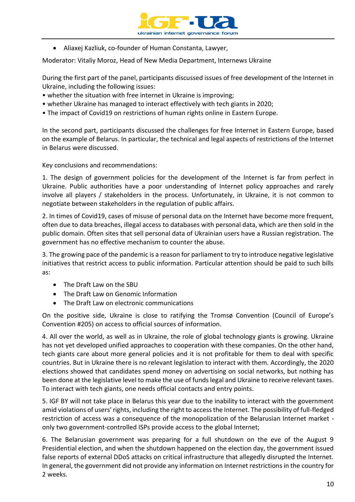

• Aliaxej Kazliuk, co-founder of Human Constanta, Lawyer,

Moderator: Vitaliy Moroz, Head of New Media Department, Internews Ukraine

During the first part of the panel, participants discussed issues of free development of the Internet in Ukraine, including the following issues:

- whether the situation with free internet in Ukraine is improving;
- whether Ukraine has managed to interact effectively with tech giants in 2020;
- The impact of Covid19 on restrictions of human rights online in Eastern Europe.

In the second part, participants discussed the challenges for free Internet in Eastern Europe, based on the example of Belarus. In particular, the technical and legal aspects of restrictions of the Internet in Belarus were discussed.

Key conclusions and recommendations:

1. The design of government policies for the development of the Internet is far from perfect in Ukraine. Public authorities have a poor understanding of Internet policy approaches and rarely involve all players / stakeholders in the process. Unfortunately, in Ukraine, it is not common to negotiate between stakeholders in the regulation of public affairs.

2. In times of Covid19, cases of misuse of personal data on the Internet have become more frequent, often due to data breaches, illegal access to databases with personal data, which are then sold in the public domain. Often sites that sell personal data of Ukrainian users have a Russian registration. The government has no effective mechanism to counter the abuse.

3. The growing pace of the pandemic is a reason for parliament to try to introduce negative legislative initiatives that restrict access to public information. Particular attention should be paid to such bills as:

- The Draft Law on the SBU
- The Draft Law on Genomic Information
- The Draft Law on electronic communications

On the positive side, Ukraine is close to ratifying the Tromsø Convention (Council of Europe's Convention #205) on access to official sources of information.

4. All over the world, as well as in Ukraine, the role of global technology giants is growing. Ukraine has not yet developed unified approaches to cooperation with these companies. On the other hand, tech giants care about more general policies and it is not profitable for them to deal with specific countries. But in Ukraine there is no relevant legislation to interact with them. Accordingly, the 2020 elections showed that candidates spend money on advertising on social networks, but nothing has been done at the legislative level to make the use of funds legal and Ukraine to receive relevant taxes. To interact with tech giants, one needs official contacts and entry points.

5. IGF BY will not take place in Belarus this year due to the inability to interact with the government amid violations of users' rights, including the right to access the Internet. The possibility of full-fledged restriction of access was a consequence of the monopolization of the Belarusian Internet market only two government-controlled ISPs provide access to the global Internet;

6. The Belarusian government was preparing for a full shutdown on the eve of the August 9 Presidential election, and when the shutdown happened on the election day, the government issued false reports of external DDoS attacks on critical infrastructure that allegedly disrupted the Internet. In general, the government did not provide any information on Internet restrictions in the country for 2 weeks.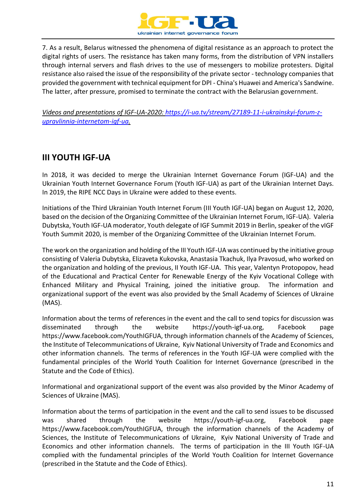

7. As a result, Belarus witnessed the phenomena of digital resistance as an approach to protect the digital rights of users. The resistance has taken many forms, from the distribution of VPN installers through internal servers and flash drives to the use of messengers to mobilize protesters. Digital resistance also raised the issue of the responsibility of the private sector - technology companies that provided the government with technical equipment for DPI - China's Huawei and America's Sandwine. The latter, after pressure, promised to terminate the contract with the Belarusian government.

<span id="page-10-0"></span>*Videos and presentations of IGF-UA-2020: [https://i-ua.tv/stream/27189-11-i-ukrainskyi-forum-z](https://i-ua.tv/stream/27189-11-i-ukrainskyi-forum-z-upravlinnia-internetom-igf-ua)[upravlinnia-internetom-igf-ua.](https://i-ua.tv/stream/27189-11-i-ukrainskyi-forum-z-upravlinnia-internetom-igf-ua)*

## **III YOUTH IGF-UA**

In 2018, it was decided to merge the Ukrainian Internet Governance Forum (IGF-UA) and the Ukrainian Youth Internet Governance Forum (Youth IGF-UA) as part of the Ukrainian Internet Days. In 2019, the RIPE NCC Days in Ukraine were added to these events.

Initiations of the Third Ukrainian Youth Internet Forum (III Youth IGF-UA) began on August 12, 2020, based on the decision of the Organizing Committee of the Ukrainian Internet Forum, IGF-UA). Valeria Dubytska, Youth IGF-UA moderator, Youth delegate of IGF Summit 2019 in Berlin, speaker of the vIGF Youth Summit 2020, is member of the Organizing Committee of the Ukrainian Internet Forum.

The work on the organization and holding of the III Youth IGF-UA was continued by the initiative group consisting of Valeria Dubytska, Elizaveta Kukovska, Anastasia Tkachuk, Ilya Pravosud, who worked on the organization and holding of the previous, II Youth IGF-UA. This year, Valentyn Protopopov, head of the Educational and Practical Center for Renewable Energy of the Kyiv Vocational College with Enhanced Military and Physical Training, joined the initiative group. The information and organizational support of the event was also provided by the Small Academy of Sciences of Ukraine (MAS).

Information about the terms of references in the event and the call to send topics for discussion was disseminated through the website https://youth-igf-ua.org, Facebook page https://www.facebook.com/YouthIGFUA, through information channels of the Academy of Sciences, the Institute of Telecommunications of Ukraine, Kyiv National University of Trade and Economics and other information channels. The terms of references in the Youth IGF-UA were complied with the fundamental principles of the World Youth Coalition for Internet Governance (prescribed in the Statute and the Code of Ethics).

Informational and organizational support of the event was also provided by the Minor Academy of Sciences of Ukraine (MAS).

Information about the terms of participation in the event and the call to send issues to be discussed was shared through the website https://youth-igf-ua.org, Facebook page https://www.facebook.com/YouthIGFUA, through the information channels of the Academy of Sciences, the Institute of Telecommunications of Ukraine, Kyiv National University of Trade and Economics and other information channels. The terms of participation in the III Youth IGF-UA complied with the fundamental principles of the World Youth Coalition for Internet Governance (prescribed in the Statute and the Code of Ethics).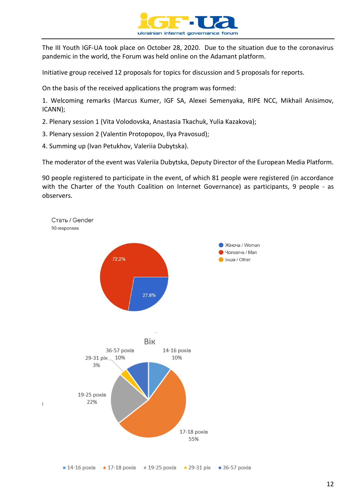

The III Youth IGF-UA took place on October 28, 2020. Due to the situation due to the coronavirus pandemic in the world, the Forum was held online on the Adamant platform.

Initiative group received 12 proposals for topics for discussion and 5 proposals for reports.

On the basis of the received applications the program was formed:

1. Welcoming remarks (Marcus Kumer, IGF SA, Alexei Semenyaka, RIPE NCC, Mikhail Anisimov, ICANN);

- 2. Plenary session 1 (Vita Volodovska, Anastasia Tkachuk, Yulia Kazakova);
- 3. Plenary session 2 (Valentin Protopopov, Ilya Pravosud);
- 4. Summing up (Ivan Petukhov, Valeriia Dubytska).

The moderator of the event was Valeriia Dubytska, Deputy Director of the European Media Platform.

90 people registered to participate in the event, of which 81 people were registered (in accordance with the Charter of the Youth Coalition on Internet Governance) as participants, 9 people - as observers.



 $\blacksquare$  14-16 років  $\blacksquare$  17-18 років  $\blacksquare$  19-25 років  $\blacksquare$  29-31 рік  $\blacksquare$  36-57 років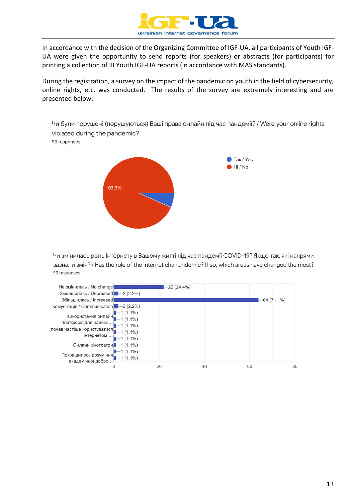

In accordance with the decision of the Organizing Committee of IGF-UA, all participants of Youth IGF-UA were given the opportunity to send reports (for speakers) or abstracts (for participants) for printing a collection of III Youth IGF-UA reports (in accordance with MAS standards).

During the registration, a survey on the impact of the pandemic on youth in the field of cybersecurity, online rights, etc. was conducted. The results of the survey are extremely interesting and are presented below:

Чи були порушені (порушуються) Ваші права онлайн під час пандемії? / Were your online rights violated during the pandemic? 90 responses



Чи змінилась роль Інтернету в Вашому житті під час пандемії COVID-19? Якщо так, які напрями зазнали змін? / Has the role of the Internet chan...ndemic? If so, which areas have changed the most? 90 responses

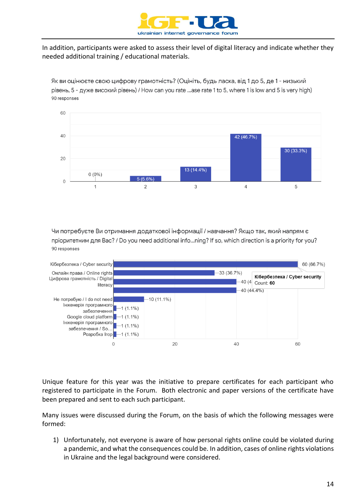

In addition, participants were asked to assess their level of digital literacy and indicate whether they needed additional training / educational materials.

Як ви оцінюєте свою цифрову грамотність? (Оцініть, будь ласка, від 1 до 5, де 1 - низький рівень, 5 - дуже високий рівень) / How can you rate ...ase rate 1 to 5, where 1 is low and 5 is very high) 90 responses



Чи потребуєте Ви отримання додаткової інформації / навчання? Якщо так, який напрям є пріоритетним для Вас? / Do you need additional info...ning? If so, which direction is a priority for you? 90 responses



Unique feature for this year was the initiative to prepare certificates for each participant who registered to participate in the Forum. Both electronic and paper versions of the certificate have been prepared and sent to each such participant.

Many issues were discussed during the Forum, on the basis of which the following messages were formed:

1) Unfortunately, not everyone is aware of how personal rights online could be violated during a pandemic, and what the consequences could be. In addition, cases of online rights violations in Ukraine and the legal background were considered.